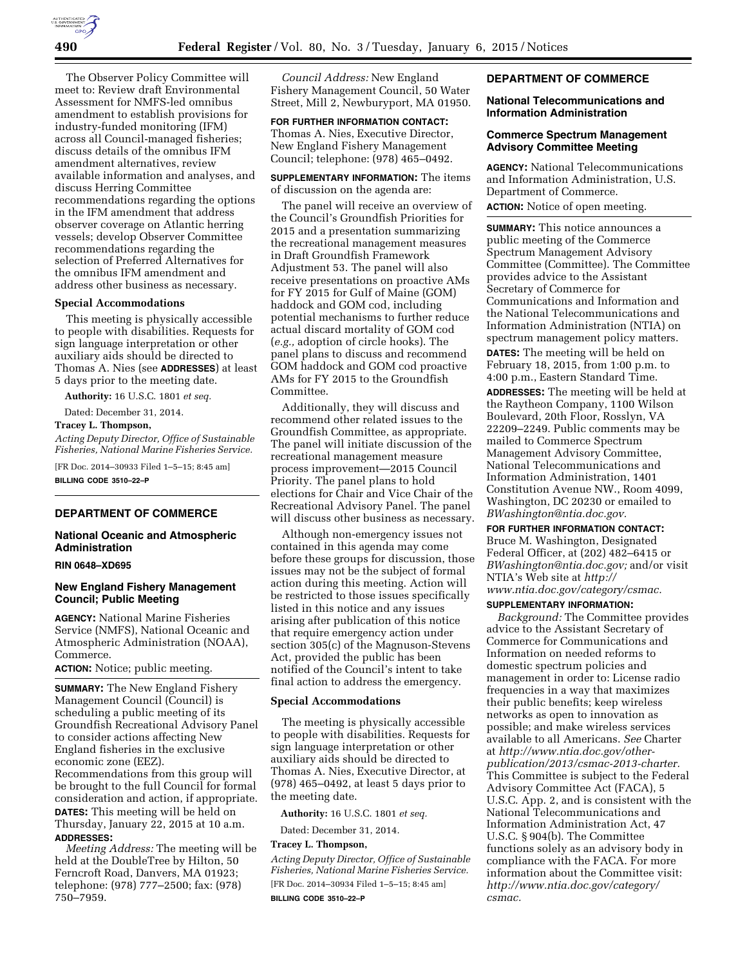The Observer Policy Committee will meet to: Review draft Environmental Assessment for NMFS-led omnibus amendment to establish provisions for industry-funded monitoring (IFM) across all Council-managed fisheries; discuss details of the omnibus IFM amendment alternatives, review available information and analyses, and discuss Herring Committee recommendations regarding the options in the IFM amendment that address observer coverage on Atlantic herring vessels; develop Observer Committee recommendations regarding the selection of Preferred Alternatives for the omnibus IFM amendment and address other business as necessary.

#### **Special Accommodations**

This meeting is physically accessible to people with disabilities. Requests for sign language interpretation or other auxiliary aids should be directed to Thomas A. Nies (see **ADDRESSES**) at least 5 days prior to the meeting date.

**Authority:** 16 U.S.C. 1801 *et seq.* 

Dated: December 31, 2014.

## **Tracey L. Thompson,**

*Acting Deputy Director, Office of Sustainable Fisheries, National Marine Fisheries Service.* 

[FR Doc. 2014–30933 Filed 1–5–15; 8:45 am] **BILLING CODE 3510–22–P** 

#### **DEPARTMENT OF COMMERCE**

### **National Oceanic and Atmospheric Administration**

#### **RIN 0648–XD695**

# **New England Fishery Management Council; Public Meeting**

**AGENCY:** National Marine Fisheries Service (NMFS), National Oceanic and Atmospheric Administration (NOAA), Commerce.

### **ACTION:** Notice; public meeting.

**SUMMARY:** The New England Fishery Management Council (Council) is scheduling a public meeting of its Groundfish Recreational Advisory Panel to consider actions affecting New England fisheries in the exclusive economic zone (EEZ). Recommendations from this group will be brought to the full Council for formal consideration and action, if appropriate. **DATES:** This meeting will be held on Thursday, January 22, 2015 at 10 a.m. **ADDRESSES:**

*Meeting Address:* The meeting will be held at the DoubleTree by Hilton, 50 Ferncroft Road, Danvers, MA 01923; telephone: (978) 777–2500; fax: (978) 750–7959.

*Council Address:* New England Fishery Management Council, 50 Water Street, Mill 2, Newburyport, MA 01950.

# **FOR FURTHER INFORMATION CONTACT:**  Thomas A. Nies, Executive Director, New England Fishery Management Council; telephone: (978) 465–0492.

## **SUPPLEMENTARY INFORMATION:** The items of discussion on the agenda are:

The panel will receive an overview of the Council's Groundfish Priorities for 2015 and a presentation summarizing the recreational management measures in Draft Groundfish Framework Adjustment 53. The panel will also receive presentations on proactive AMs for FY 2015 for Gulf of Maine (GOM) haddock and GOM cod, including potential mechanisms to further reduce actual discard mortality of GOM cod (*e.g.,* adoption of circle hooks). The panel plans to discuss and recommend GOM haddock and GOM cod proactive AMs for FY 2015 to the Groundfish Committee.

Additionally, they will discuss and recommend other related issues to the Groundfish Committee, as appropriate. The panel will initiate discussion of the recreational management measure process improvement—2015 Council Priority. The panel plans to hold elections for Chair and Vice Chair of the Recreational Advisory Panel. The panel will discuss other business as necessary.

Although non-emergency issues not contained in this agenda may come before these groups for discussion, those issues may not be the subject of formal action during this meeting. Action will be restricted to those issues specifically listed in this notice and any issues arising after publication of this notice that require emergency action under section 305(c) of the Magnuson-Stevens Act, provided the public has been notified of the Council's intent to take final action to address the emergency.

### **Special Accommodations**

The meeting is physically accessible to people with disabilities. Requests for sign language interpretation or other auxiliary aids should be directed to Thomas A. Nies, Executive Director, at (978) 465–0492, at least 5 days prior to the meeting date.

**Authority:** 16 U.S.C. 1801 *et seq.* 

Dated: December 31, 2014.

# **Tracey L. Thompson,**

*Acting Deputy Director, Office of Sustainable Fisheries, National Marine Fisheries Service.*  [FR Doc. 2014–30934 Filed 1–5–15; 8:45 am] **BILLING CODE 3510–22–P** 

### **DEPARTMENT OF COMMERCE**

#### **National Telecommunications and Information Administration**

### **Commerce Spectrum Management Advisory Committee Meeting**

**AGENCY:** National Telecommunications and Information Administration, U.S. Department of Commerce. **ACTION:** Notice of open meeting.

**SUMMARY:** This notice announces a public meeting of the Commerce Spectrum Management Advisory Committee (Committee). The Committee provides advice to the Assistant Secretary of Commerce for Communications and Information and the National Telecommunications and Information Administration (NTIA) on spectrum management policy matters.

**DATES:** The meeting will be held on February 18, 2015, from 1:00 p.m. to 4:00 p.m., Eastern Standard Time.

**ADDRESSES:** The meeting will be held at the Raytheon Company, 1100 Wilson Boulevard, 20th Floor, Rosslyn, VA 22209–2249. Public comments may be mailed to Commerce Spectrum Management Advisory Committee, National Telecommunications and Information Administration, 1401 Constitution Avenue NW., Room 4099, Washington, DC 20230 or emailed to *[BWashington@ntia.doc.gov.](mailto:BWashington@ntia.doc.gov)* 

# **FOR FURTHER INFORMATION CONTACT:**

Bruce M. Washington, Designated Federal Officer, at (202) 482–6415 or *[BWashington@ntia.doc.gov;](mailto:BWashington@ntia.doc.gov)* and/or visit NTIA's Web site at *[http://](http://www.ntia.doc.gov/category/csmac) [www.ntia.doc.gov/category/csmac.](http://www.ntia.doc.gov/category/csmac)* 

# **SUPPLEMENTARY INFORMATION:**

*Background:* The Committee provides advice to the Assistant Secretary of Commerce for Communications and Information on needed reforms to domestic spectrum policies and management in order to: License radio frequencies in a way that maximizes their public benefits; keep wireless networks as open to innovation as possible; and make wireless services available to all Americans. *See* Charter at *[http://www.ntia.doc.gov/other](http://www.ntia.doc.gov/other-publication/2013/csmac-2013-charter)[publication/2013/csmac-2013-charter.](http://www.ntia.doc.gov/other-publication/2013/csmac-2013-charter)*  This Committee is subject to the Federal Advisory Committee Act (FACA), 5 U.S.C. App. 2, and is consistent with the National Telecommunications and Information Administration Act, 47 U.S.C. § 904(b). The Committee functions solely as an advisory body in compliance with the FACA. For more information about the Committee visit: *[http://www.ntia.doc.gov/category/](http://www.ntia.doc.gov/category/csmac) [csmac.](http://www.ntia.doc.gov/category/csmac)*